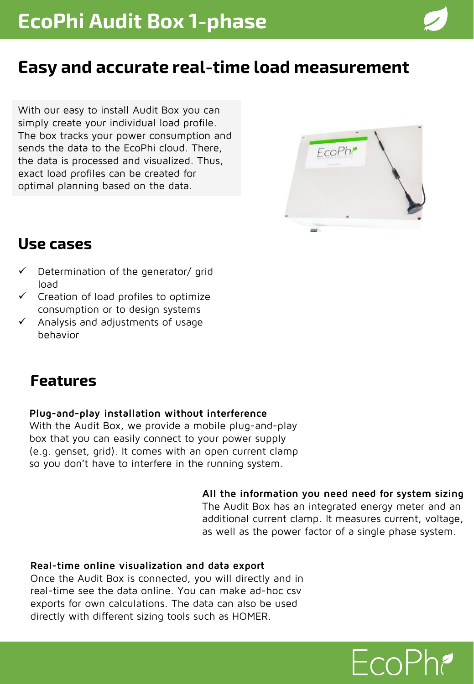## **Easy and accurate real-time load measurement**

With our easy to install Audit Box you can simply create your individual load profile. The box tracks your power consumption and sends the data to the EcoPhi cloud. There, the data is processed and visualized. Thus, exact load profiles can be created for optimal planning based on the data.



### **Use cases**

- Determination of the generator/ grid load
- $\checkmark$  Creation of load profiles to optimize consumption or to design systems
- Analysis and adjustments of usage behavior

### **Features**

#### **Plug-and-play installation without interference**

With the Audit Box, we provide a mobile plug-and-play box that you can easily connect to your power supply (e.g. genset, grid). It comes with an open current clamp so you don't have to interfere in the running system.

#### **All the information you need need for system sizing**

The Audit Box has an integrated energy meter and an additional current clamp. It measures current, voltage, as well as the power factor of a single phase system.

#### **Real-time online visualization and data export**

Once the Audit Box is connected, you will directly and in real-time see the data online. You can make ad-hoc csv exports for own calculations. The data can also be used directly with different sizing tools such as HOMER.

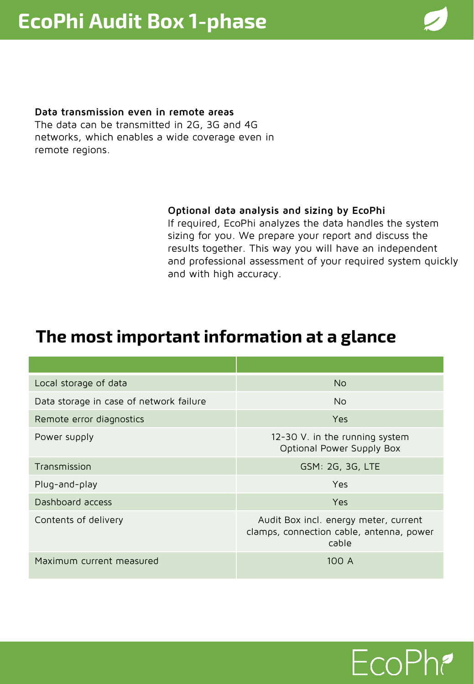#### **Data transmission even in remote areas**

The data can be transmitted in 2G, 3G and 4G networks, which enables a wide coverage even in remote regions.

#### **Optional data analysis and sizing by EcoPhi**

If required, EcoPhi analyzes the data handles the system sizing for you. We prepare your report and discuss the results together. This way you will have an independent and professional assessment of your required system quickly and with high accuracy.

### **The most important information at a glance**

| Local storage of data                   | <b>No</b>                                                                                  |
|-----------------------------------------|--------------------------------------------------------------------------------------------|
| Data storage in case of network failure | N <sub>0</sub>                                                                             |
| Remote error diagnostics                | <b>Yes</b>                                                                                 |
| Power supply                            | 12-30 V. in the running system<br>Optional Power Supply Box                                |
| Transmission                            | GSM: 2G, 3G, LTE                                                                           |
| Plug-and-play                           | Yes                                                                                        |
| Dashboard access                        | Yes                                                                                        |
| Contents of delivery                    | Audit Box incl. energy meter, current<br>clamps, connection cable, antenna, power<br>cable |
| Maximum current measured                | 100 A                                                                                      |

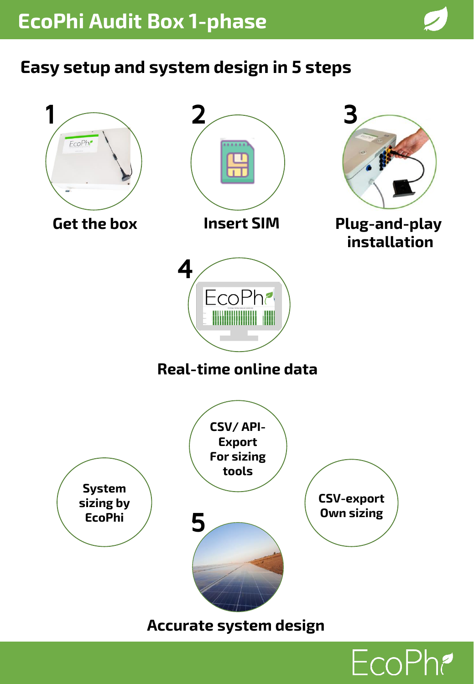



EcoPh?